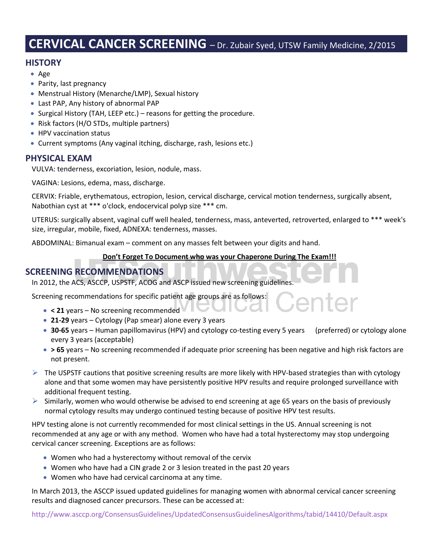# **CERVICAL CANCER SCREENING** – Dr. Zubair Syed, UTSW Family Medicine, 2/2015

## **HISTORY**

- Age
- Parity, last pregnancy
- Menstrual History (Menarche/LMP), Sexual history
- Last PAP, Any history of abnormal PAP
- Surgical History (TAH, LEEP etc.) reasons for getting the procedure.
- Risk factors (H/O STDs, multiple partners)
- HPV vaccination status
- Current symptoms (Any vaginal itching, discharge, rash, lesions etc.)

### **PHYSICAL EXAM**

VULVA: tenderness, excoriation, lesion, nodule, mass.

VAGINA: Lesions, edema, mass, discharge.

CERVIX: Friable, erythematous, ectropion, lesion, cervical discharge, cervical motion tenderness, surgically absent, Nabothian cyst at \*\*\* o'clock, endocervical polyp size \*\*\* cm.

UTERUS: surgically absent, vaginal cuff well healed, tenderness, mass, anteverted, retroverted, enlarged to \*\*\* week's size, irregular, mobile, fixed, ADNEXA: tenderness, masses.

ABDOMINAL: Bimanual exam – comment on any masses felt between your digits and hand.

#### **Don't Forget To Document who was your Chaperone During The Exam!!!**

## **SCREENING RECOMMENDATIONS**

In 2012, the ACS, ASCCP, USPSTF, ACOG and ASCP issued new screening guidelines.

Screening recommendations for specific patient age groups are as follows:

- **< 21** years No screening recommended
- **21-29** years Cytology (Pap smear) alone every 3 years
- **30-65** years Human papillomavirus (HPV) and cytology co-testing every 5 years (preferred) or cytology alone every 3 years (acceptable)
- **> 65** years No screening recommended if adequate prior screening has been negative and high risk factors are not present.
- $\triangleright$  The USPSTF cautions that positive screening results are more likely with HPV-based strategies than with cytology alone and that some women may have persistently positive HPV results and require prolonged surveillance with additional frequent testing.
- $\triangleright$  Similarly, women who would otherwise be advised to end screening at age 65 years on the basis of previously normal cytology results may undergo continued testing because of positive HPV test results.

HPV testing alone is not currently recommended for most clinical settings in the US. Annual screening is not recommended at any age or with any method. Women who have had a total hysterectomy may stop undergoing cervical cancer screening. Exceptions are as follows:

- Women who had a hysterectomy without removal of the cervix
- Women who have had a CIN grade 2 or 3 lesion treated in the past 20 years
- Women who have had cervical carcinoma at any time.

In March 2013, the ASCCP issued updated guidelines for managing women with abnormal cervical cancer screening results and diagnosed cancer precursors. These can be accessed at:

<http://www.asccp.org/ConsensusGuidelines/UpdatedConsensusGuidelinesAlgorithms/tabid/14410/Default.aspx>